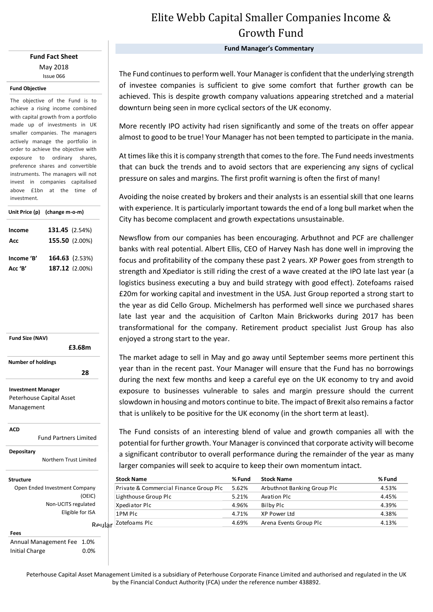### **Fund Fact Sheet** May 2018 Issue 066

### **Fund Objective**

The objective of the Fund is to achieve a rising income combined with capital growth from a portfolio made up of investments in UK smaller companies. The managers actively manage the portfolio in order to achieve the objective with exposure to ordinary shares, preference shares and convertible instruments. The managers will not invest in companies capitalised above £1bn at the time of investment.

|            | Unit Price (p) (change m-o-m) |  |  |
|------------|-------------------------------|--|--|
| Income     | 131.45 (2.54%)                |  |  |
| Acc        | 155.50 (2.00%)                |  |  |
| Income 'B' | 164.63 (2.53%)                |  |  |
| Acc 'B'    | 187.12 (2.00%)                |  |  |

**Fund Size (NAV) Investment Manager** Peterhouse Capital Asset Management  **£3.68m Number of holdings 28** 

**ACD**

Fund Partners Limited

**Depositary**

Northern Trust Limited

Reular

#### **Structure**

Open Ended Investment Company (OEIC) Non-UCITS regulated Eligible for ISA

**Fees** Annual Management Fee 1.0% Initial Charge 0.0%

# Elite Webb Capital Smaller Companies Income & Growth Fund

**Fund Manager's Commentary**

The Fund continues to perform well. Your Manager is confident that the underlying strength of investee companies is sufficient to give some comfort that further growth can be achieved. This is despite growth company valuations appearing stretched and a material downturn being seen in more cyclical sectors of the UK economy.

More recently IPO activity had risen significantly and some of the treats on offer appear almost to good to be true! Your Manager has not been tempted to participate in the mania.

At times like this it is company strength that comes to the fore. The Fund needs investments that can buck the trends and to avoid sectors that are experiencing any signs of cyclical pressure on sales and margins. The first profit warning is often the first of many!

Avoiding the noise created by brokers and their analysts is an essential skill that one learns with experience. It is particularly important towards the end of a long bull market when the City has become complacent and growth expectations unsustainable.

Newsflow from our companies has been encouraging. Arbuthnot and PCF are challenger banks with real potential. Albert Ellis, CEO of Harvey Nash has done well in improving the focus and profitability of the company these past 2 years. XP Power goes from strength to strength and Xpediator is still riding the crest of a wave created at the IPO late last year (a logistics business executing a buy and build strategy with good effect). Zotefoams raised £20m for working capital and investment in the USA. Just Group reported a strong start to the year as did Cello Group. Michelmersh has performed well since we purchased shares late last year and the acquisition of Carlton Main Brickworks during 2017 has been transformational for the company. Retirement product specialist Just Group has also enjoyed a strong start to the year.

The market adage to sell in May and go away until September seems more pertinent this year than in the recent past. Your Manager will ensure that the Fund has no borrowings during the next few months and keep a careful eye on the UK economy to try and avoid exposure to businesses vulnerable to sales and margin pressure should the current slowdown in housing and motors continue to bite. The impact of Brexit also remains a factor that is unlikely to be positive for the UK economy (in the short term at least).

larger companies will seek to acquire to keep their own momentum intact.<br> The Fund consists of an interesting blend of value and growth companies all with the potential for further growth. Your Manager is convinced that corporate activity will become a significant contributor to overall performance during the remainder of the year as many

| <b>Stock Name</b>                      | % Fund | <b>Stock Name</b>           | % Fund |
|----------------------------------------|--------|-----------------------------|--------|
| Private & Commercial Finance Group Plc | 5.62%  | Arbuthnot Banking Group Plc | 4.53%  |
| Lighthouse Group Plc                   | 5.21%  | Avation Plc                 | 4.45%  |
| Xpediator Plc                          | 4.96%  | Bilby Plc                   | 4.39%  |
| 1PM Plc                                | 4.71%  | XP Power Ltd                | 4.38%  |
| Zotefoams Plc                          | 4.69%  | Arena Events Group Plc      | 4.13%  |

Peterhouse Capital Asset Management Limited is a subsidiary of Peterhouse Corporate Finance Limited and authorised and regulated in the UK by the Financial Conduct Authority (FCA) under the reference number 438892.